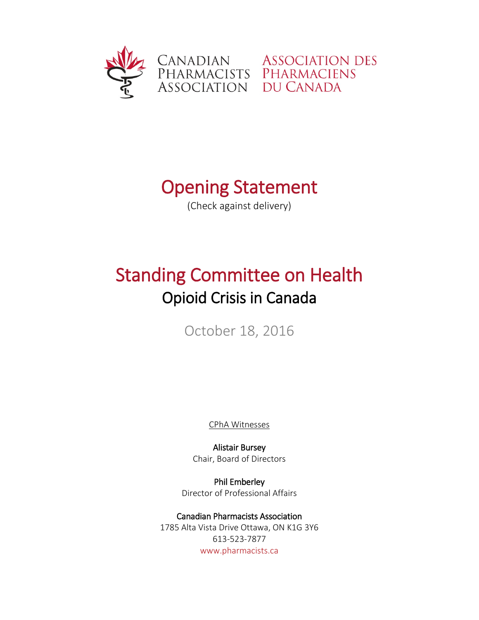

## **Opening Statement**<br>(Check against delivery)

## Standing Committee on Health Opioid Crisis in Canada

October 18, 2016

CPhA Witnesses

Alistair Bursey Chair, Board of Directors

Phil Emberley Director of Professional Affairs

Canadian Pharmacists Association 1785 Alta Vista Drive Ottawa, ON K1G 3Y6 613-523-7877 [www.pharmacists.ca](http://www.pharmacists.ca/)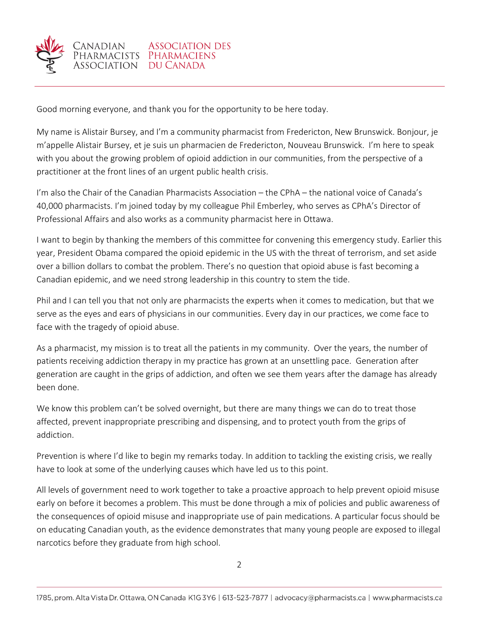

Good morning everyone, and thank you for the opportunity to be here today.

My name is Alistair Bursey, and I'm a community pharmacist from Fredericton, New Brunswick. Bonjour, je m'appelle Alistair Bursey, et je suis un pharmacien de Fredericton, Nouveau Brunswick. I'm here to speak with you about the growing problem of opioid addiction in our communities, from the perspective of a practitioner at the front lines of an urgent public health crisis.

I'm also the Chair of the Canadian Pharmacists Association – the CPhA – the national voice of Canada's 40,000 pharmacists. I'm joined today by my colleague Phil Emberley, who serves as CPhA's Director of Professional Affairs and also works as a community pharmacist here in Ottawa.

I want to begin by thanking the members of this committee for convening this emergency study. Earlier this year, President Obama compared the opioid epidemic in the US with the threat of terrorism, and set aside over a billion dollars to combat the problem. There's no question that opioid abuse is fast becoming a Canadian epidemic, and we need strong leadership in this country to stem the tide.

Phil and I can tell you that not only are pharmacists the experts when it comes to medication, but that we serve as the eyes and ears of physicians in our communities. Every day in our practices, we come face to face with the tragedy of opioid abuse.

As a pharmacist, my mission is to treat all the patients in my community. Over the years, the number of patients receiving addiction therapy in my practice has grown at an unsettling pace. Generation after generation are caught in the grips of addiction, and often we see them years after the damage has already been done.

We know this problem can't be solved overnight, but there are many things we can do to treat those affected, prevent inappropriate prescribing and dispensing, and to protect youth from the grips of addiction.

Prevention is where I'd like to begin my remarks today. In addition to tackling the existing crisis, we really have to look at some of the underlying causes which have led us to this point.

All levels of government need to work together to take a proactive approach to help prevent opioid misuse early on before it becomes a problem. This must be done through a mix of policies and public awareness of the consequences of opioid misuse and inappropriate use of pain medications. A particular focus should be on educating Canadian youth, as the evidence demonstrates that many young people are exposed to illegal narcotics before they graduate from high school.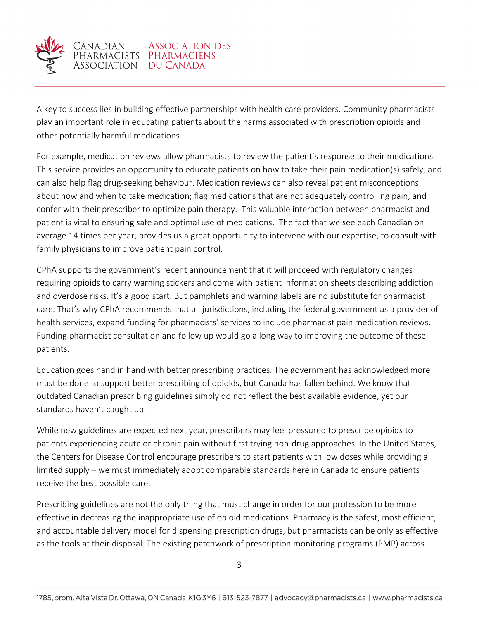

A key to success lies in building effective partnerships with health care providers. Community pharmacists play an important role in educating patients about the harms associated with prescription opioids and other potentially harmful medications.

For example, medication reviews allow pharmacists to review the patient's response to their medications. This service provides an opportunity to educate patients on how to take their pain medication(s) safely, and can also help flag drug-seeking behaviour. Medication reviews can also reveal patient misconceptions about how and when to take medication; flag medications that are not adequately controlling pain, and confer with their prescriber to optimize pain therapy. This valuable interaction between pharmacist and patient is vital to ensuring safe and optimal use of medications. The fact that we see each Canadian on average 14 times per year, provides us a great opportunity to intervene with our expertise, to consult with family physicians to improve patient pain control.

CPhA supports the government's recent announcement that it will proceed with regulatory changes requiring opioids to carry warning stickers and come with patient information sheets describing addiction and overdose risks. It's a good start. But pamphlets and warning labels are no substitute for pharmacist care. That's why CPhA recommends that all jurisdictions, including the federal government as a provider of health services, expand funding for pharmacists' services to include pharmacist pain medication reviews. Funding pharmacist consultation and follow up would go a long way to improving the outcome of these patients.

Education goes hand in hand with better prescribing practices. The government has acknowledged more must be done to support better prescribing of opioids, but Canada has fallen behind. We know that outdated Canadian prescribing guidelines simply do not reflect the best available evidence, yet our standards haven't caught up.

While new guidelines are expected next year, prescribers may feel pressured to prescribe opioids to patients experiencing acute or chronic pain without first trying non-drug approaches. In the United States, the Centers for Disease Control encourage prescribers to start patients with low doses while providing a limited supply – we must immediately adopt comparable standards here in Canada to ensure patients receive the best possible care.

Prescribing guidelines are not the only thing that must change in order for our profession to be more effective in decreasing the inappropriate use of opioid medications. Pharmacy is the safest, most efficient, and accountable delivery model for dispensing prescription drugs, but pharmacists can be only as effective as the tools at their disposal. The existing patchwork of prescription monitoring programs (PMP) across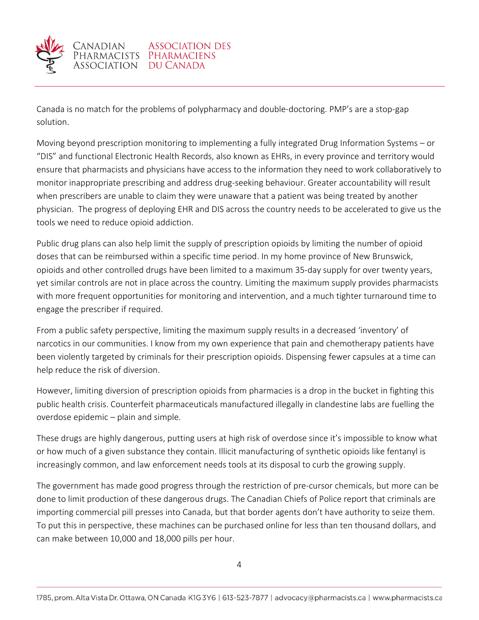

Canada is no match for the problems of polypharmacy and double-doctoring. PMP's are a stop-gap solution.

Moving beyond prescription monitoring to implementing a fully integrated Drug Information Systems – or "DIS" and functional Electronic Health Records, also known as EHRs, in every province and territory would ensure that pharmacists and physicians have access to the information they need to work collaboratively to monitor inappropriate prescribing and address drug-seeking behaviour. Greater accountability will result when prescribers are unable to claim they were unaware that a patient was being treated by another physician. The progress of deploying EHR and DIS across the country needs to be accelerated to give us the tools we need to reduce opioid addiction.

Public drug plans can also help limit the supply of prescription opioids by limiting the number of opioid doses that can be reimbursed within a specific time period. In my home province of New Brunswick, opioids and other controlled drugs have been limited to a maximum 35-day supply for over twenty years, yet similar controls are not in place across the country. Limiting the maximum supply provides pharmacists with more frequent opportunities for monitoring and intervention, and a much tighter turnaround time to engage the prescriber if required.

From a public safety perspective, limiting the maximum supply results in a decreased 'inventory' of narcotics in our communities. I know from my own experience that pain and chemotherapy patients have been violently targeted by criminals for their prescription opioids. Dispensing fewer capsules at a time can help reduce the risk of diversion.

However, limiting diversion of prescription opioids from pharmacies is a drop in the bucket in fighting this public health crisis. Counterfeit pharmaceuticals manufactured illegally in clandestine labs are fuelling the overdose epidemic – plain and simple.

These drugs are highly dangerous, putting users at high risk of overdose since it's impossible to know what or how much of a given substance they contain. Illicit manufacturing of synthetic opioids like fentanyl is increasingly common, and law enforcement needs tools at its disposal to curb the growing supply.

The government has made good progress through the restriction of pre-cursor chemicals, but more can be done to limit production of these dangerous drugs. The Canadian Chiefs of Police report that criminals are importing commercial pill presses into Canada, but that border agents don't have authority to seize them. To put this in perspective, these machines can be purchased online for less than ten thousand dollars, and can make between 10,000 and 18,000 pills per hour.